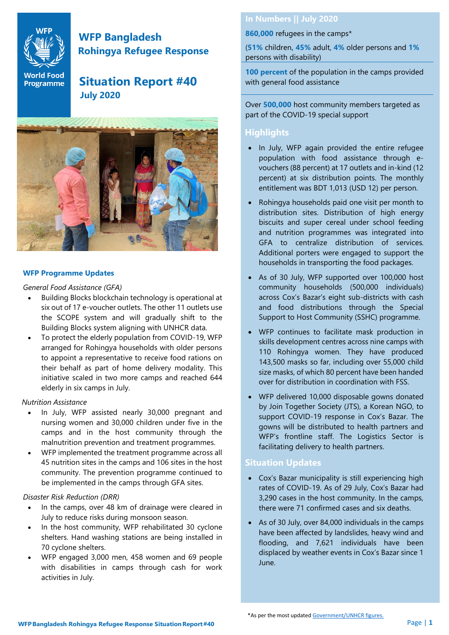

# **WFP Bangladesh Rohingya Refugee Response**

# **World Food** Situation Report #40  **July 2020**



#### **WFP Programme Updates**

*General Food Assistance (GFA)*

- Building Blocks blockchain technology is operational at six out of 17 e-voucher outlets. The other 11 outlets use the SCOPE system and will gradually shift to the Building Blocks system aligning with UNHCR data.
- To protect the elderly population from COVID-19, WFP arranged for Rohingya households with older persons to appoint a representative to receive food rations on their behalf as part of home delivery modality. This initiative scaled in two more camps and reached 644 elderly in six camps in July.

#### *Nutrition Assistance*

- In July, WFP assisted nearly 30,000 pregnant and nursing women and 30,000 children under five in the camps and in the host community through the malnutrition prevention and treatment programmes.
- WFP implemented the treatment programme across all 45 nutrition sites in the camps and 106 sites in the host community. The prevention programme continued to be implemented in the camps through GFA sites.

#### *Disaster Risk Reduction (DRR)*

- In the camps, over 48 km of drainage were cleared in July to reduce risks during monsoon season.
- In the host community, WFP rehabilitated 30 cyclone shelters. Hand washing stations are being installed in 70 cyclone shelters.
- WFP engaged 3,000 men, 458 women and 69 people with disabilities in camps through cash for work activities in July.

#### **In Numbers || July 2020**

**860,000** refugees in the camps\*

(**51%** children**, 45%** adult, **4%** older persons and **1%** persons with disability)

**100 percent** of the population in the camps provided with general food assistance

Over **500,000** host community members targeted as part of the COVID-19 special support

#### **Highlights**

- In July, WFP again provided the entire refugee population with food assistance through evouchers (88 percent) at 17 outlets and in-kind (12 percent) at six distribution points. The monthly entitlement was BDT 1,013 (USD 12) per person.
- Rohingya households paid one visit per month to distribution sites. Distribution of high energy biscuits and super cereal under school feeding and nutrition programmes was integrated into GFA to centralize distribution of services. Additional porters were engaged to support the households in transporting the food packages.
- As of 30 July, WFP supported over 100,000 host community households (500,000 individuals) across Cox's Bazar's eight sub-districts with cash and food distributions through the Special Support to Host Community (SSHC) programme.
- WFP continues to facilitate mask production in skills development centres across nine camps with 110 Rohingya women. They have produced 143,500 masks so far, including over 55,000 child size masks, of which 80 percent have been handed over for distribution in coordination with FSS.
- WFP delivered 10,000 disposable gowns donated by Join Together Society (JTS), a Korean NGO, to support COVID-19 response in Cox's Bazar. The gowns will be distributed to health partners and WFP's frontline staff. The Logistics Sector is facilitating delivery to health partners.

#### **Situation Updates**

- Cox's Bazar municipality is still experiencing high rates of COVID-19. As of 29 July, Cox's Bazar had 3,290 cases in the host community. In the camps, there were 71 confirmed cases and six deaths.
- As of 30 July, over 84,000 individuals in the camps have been affected by landslides, heavy wind and flooding, and 7,621 individuals have been displaced by weather events in Cox's Bazar since 1 June.